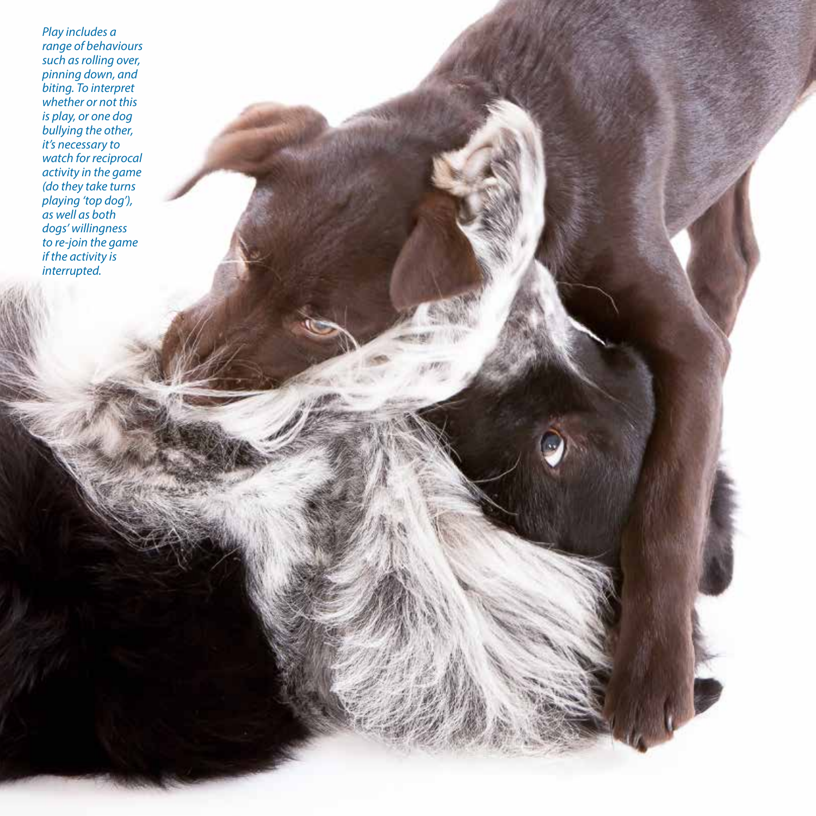*Play includes a range of behaviours such as rolling over, pinning down, and biting. To interpret whether or not this is play, or one dog bullying the other, it's necessary to watch for reciprocal activity in the game (do they take turns playing 'top dog'), as well as both dogs' willingness to re-join the game if the activity is interrupted.*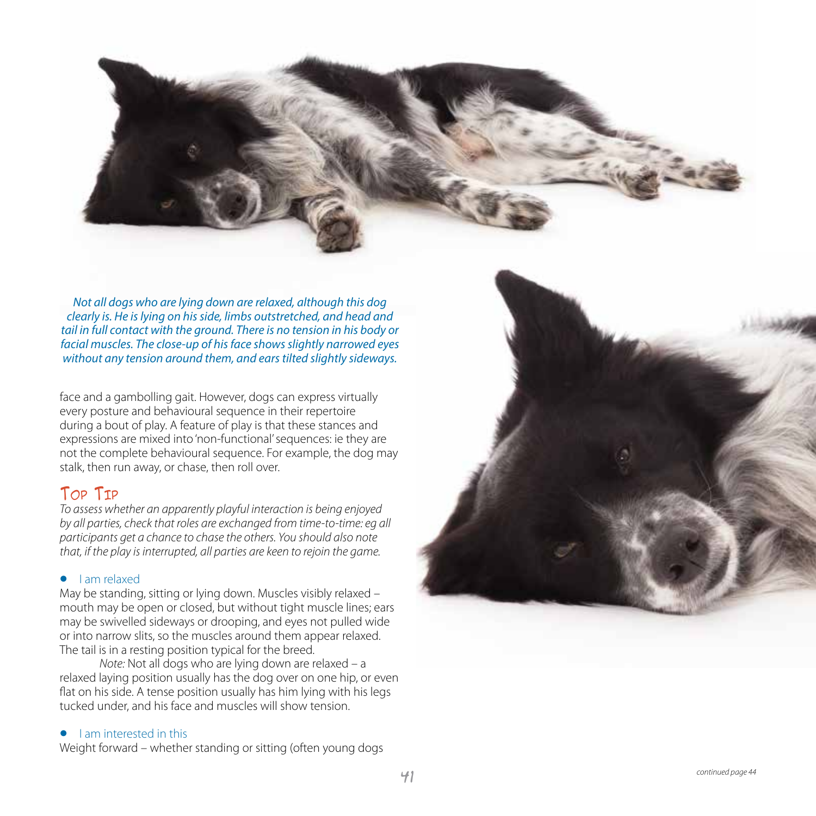*Not all dogs who are lying down are relaxed, although this dog clearly is. He is lying on his side, limbs outstretched, and head and tail in full contact with the ground. There is no tension in his body or facial muscles. The close-up of his face shows slightly narrowed eyes without any tension around them, and ears tilted slightly sideways.*

face and a gambolling gait. However, dogs can express virtually every posture and behavioural sequence in their repertoire during a bout of play. A feature of play is that these stances and expressions are mixed into 'non-functional' sequences: ie they are not the complete behavioural sequence. For example, the dog may stalk, then run away, or chase, then roll over.

### Top Tip

*To assess whether an apparently playful interaction is being enjoyed by all parties, check that roles are exchanged from time-to-time: eg all participants get a chance to chase the others. You should also note that, if the play is interrupted, all parties are keen to rejoin the game.*

#### • I am relaxed

May be standing, sitting or lying down. Muscles visibly relaxed – mouth may be open or closed, but without tight muscle lines; ears may be swivelled sideways or drooping, and eyes not pulled wide or into narrow slits, so the muscles around them appear relaxed. The tail is in a resting position typical for the breed.

*Note:* Not all dogs who are lying down are relaxed – a relaxed laying position usually has the dog over on one hip, or even flat on his side. A tense position usually has him lying with his legs tucked under, and his face and muscles will show tension.

#### • I am interested in this

Weight forward – whether standing or sitting (often young dogs

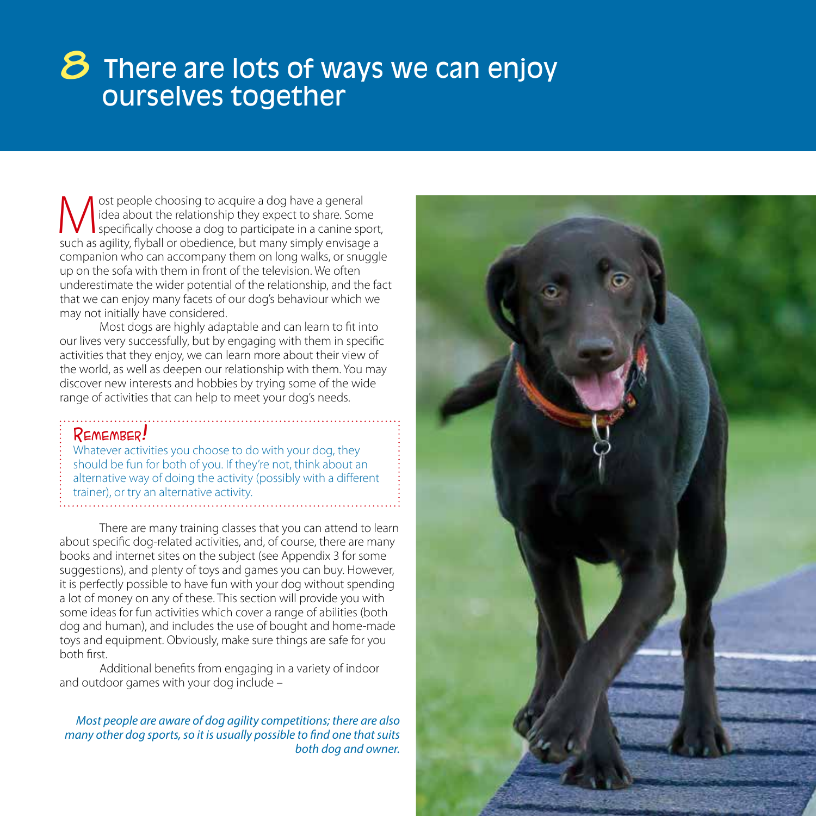# **8** There are lots of ways we can enjoy ourselves together

**M** ost people choosing to acquire a dog have a general<br>specifically choose a dog to participate in a canine sport,<br>such as agility flyball or obedience but many simply envisage a idea about the relationship they expect to share. Some such as agility, flyball or obedience, but many simply envisage a companion who can accompany them on long walks, or snuggle up on the sofa with them in front of the television. We often underestimate the wider potential of the relationship, and the fact that we can enjoy many facets of our dog's behaviour which we may not initially have considered.

Most dogs are highly adaptable and can learn to fit into our lives very successfully, but by engaging with them in specific activities that they enjoy, we can learn more about their view of the world, as well as deepen our relationship with them. You may discover new interests and hobbies by trying some of the wide range of activities that can help to meet your dog's needs.

#### Remember!

Whatever activities you choose to do with your dog, they should be fun for both of you. If they're not, think about an alternative way of doing the activity (possibly with a different trainer), or try an alternative activity.

There are many training classes that you can attend to learn about specific dog-related activities, and, of course, there are many books and internet sites on the subject (see Appendix 3 for some suggestions), and plenty of toys and games you can buy. However, it is perfectly possible to have fun with your dog without spending a lot of money on any of these. This section will provide you with some ideas for fun activities which cover a range of abilities (both dog and human), and includes the use of bought and home-made toys and equipment. Obviously, make sure things are safe for you both first.

Additional benefits from engaging in a variety of indoor and outdoor games with your dog include –

*Most people are aware of dog agility competitions; there are also many other dog sports, so it is usually possible to find one that suits both dog and owner.*

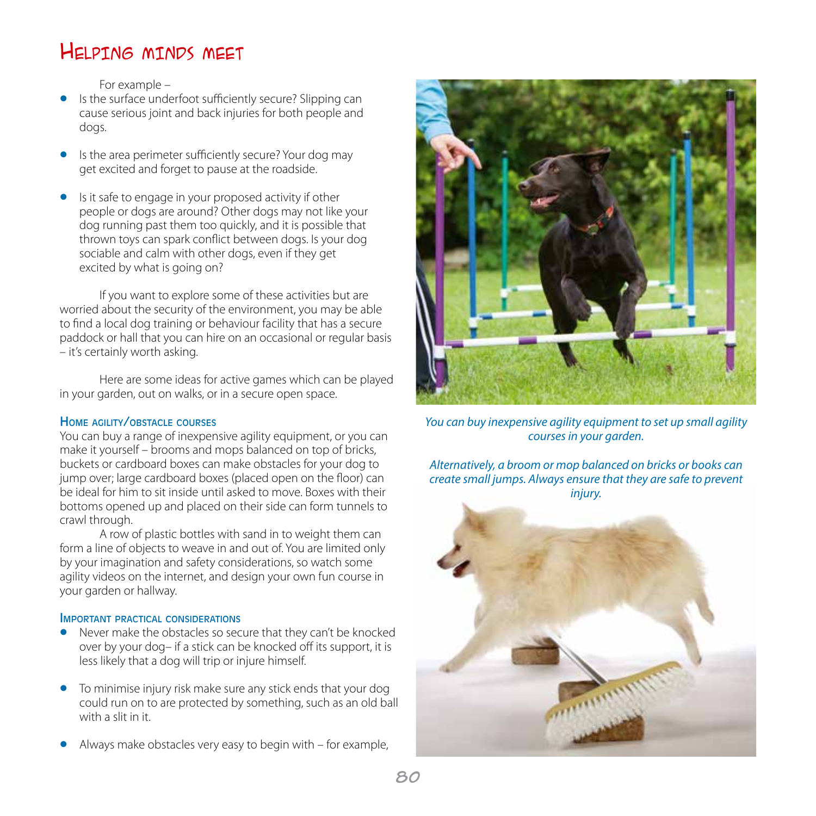## Helping minds meet

For example –

- Is the surface underfoot sufficiently secure? Slipping can cause serious joint and back injuries for both people and dogs.
- Is the area perimeter sufficiently secure? Your dog may get excited and forget to pause at the roadside.
- Is it safe to engage in your proposed activity if other people or dogs are around? Other dogs may not like your dog running past them too quickly, and it is possible that thrown toys can spark conflict between dogs. Is your dog sociable and calm with other dogs, even if they get excited by what is going on?

If you want to explore some of these activities but are worried about the security of the environment, you may be able to find a local dog training or behaviour facility that has a secure paddock or hall that you can hire on an occasional or regular basis – it's certainly worth asking.

Here are some ideas for active games which can be played in your garden, out on walks, or in a secure open space.

#### Home agility/obstacle courses

You can buy a range of inexpensive agility equipment, or you can make it yourself – brooms and mops balanced on top of bricks, buckets or cardboard boxes can make obstacles for your dog to jump over; large cardboard boxes (placed open on the floor) can be ideal for him to sit inside until asked to move. Boxes with their bottoms opened up and placed on their side can form tunnels to crawl through.

A row of plastic bottles with sand in to weight them can form a line of objects to weave in and out of. You are limited only by your imagination and safety considerations, so watch some agility videos on the internet, and design your own fun course in your garden or hallway.

#### Important practical considerations

- Never make the obstacles so secure that they can't be knocked over by your dog– if a stick can be knocked off its support, it is less likely that a dog will trip or injure himself.
- To minimise injury risk make sure any stick ends that your dog could run on to are protected by something, such as an old ball with a slit in it.
- Always make obstacles very easy to begin with for example,



*You can buy inexpensive agility equipment to set up small agility courses in your garden.*

*Alternatively, a broom or mop balanced on bricks or books can create small jumps. Always ensure that they are safe to prevent injury.*